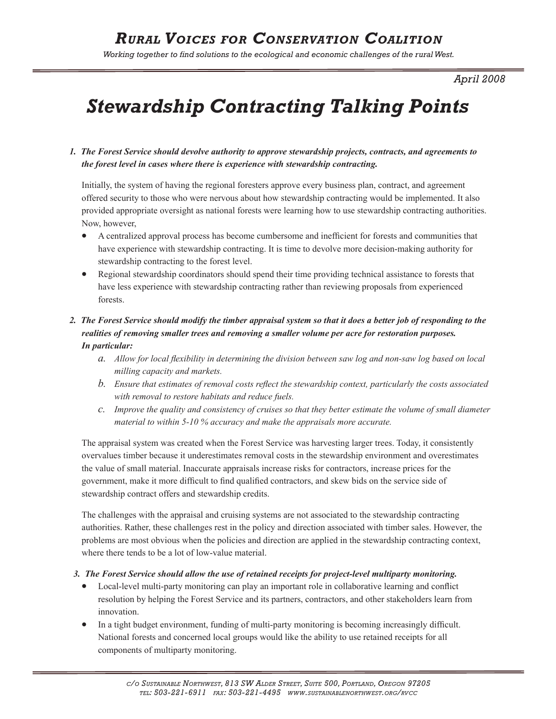*Working together to find solutions to the ecological and economic challenges of the rural West.* 

*April 2008*

# *Stewardship Contracting Talking Points*

#### *1. The Forest Service should devolve authority to approve stewardship projects, contracts, and agreements to the forest level in cases where there is experience with stewardship contracting.*

Initially, the system of having the regional foresters approve every business plan, contract, and agreement offered security to those who were nervous about how stewardship contracting would be implemented. It also provided appropriate oversight as national forests were learning how to use stewardship contracting authorities. Now, however,

- A centralized approval process has become cumbersome and inefficient for forests and communities that have experience with stewardship contracting. It is time to devolve more decision-making authority for stewardship contracting to the forest level.
- Regional stewardship coordinators should spend their time providing technical assistance to forests that have less experience with stewardship contracting rather than reviewing proposals from experienced forests.

#### *2. The Forest Service should modify the timber appraisal system so that it does a better job of responding to the realities of removing smaller trees and removing a smaller volume per acre for restoration purposes. In particular:*

- *a. Allow for local flexibility in determining the division between saw log and non-saw log based on local milling capacity and markets.*
- *b. Ensure that estimates of removal costs reflect the stewardship context, particularly the costs associated with removal to restore habitats and reduce fuels.*
- *c. Improve the quality and consistency of cruises so that they better estimate the volume of small diameter material to within 5-10 % accuracy and make the appraisals more accurate.*

The appraisal system was created when the Forest Service was harvesting larger trees. Today, it consistently overvalues timber because it underestimates removal costs in the stewardship environment and overestimates the value of small material. Inaccurate appraisals increase risks for contractors, increase prices for the government, make it more difficult to find qualified contractors, and skew bids on the service side of stewardship contract offers and stewardship credits.

The challenges with the appraisal and cruising systems are not associated to the stewardship contracting authorities. Rather, these challenges rest in the policy and direction associated with timber sales. However, the problems are most obvious when the policies and direction are applied in the stewardship contracting context, where there tends to be a lot of low-value material.

#### *3. The Forest Service should allow the use of retained receipts for project-level multiparty monitoring.*

- Local-level multi-party monitoring can play an important role in collaborative learning and conflict resolution by helping the Forest Service and its partners, contractors, and other stakeholders learn from innovation.
- In a tight budget environment, funding of multi-party monitoring is becoming increasingly difficult. National forests and concerned local groups would like the ability to use retained receipts for all components of multiparty monitoring.